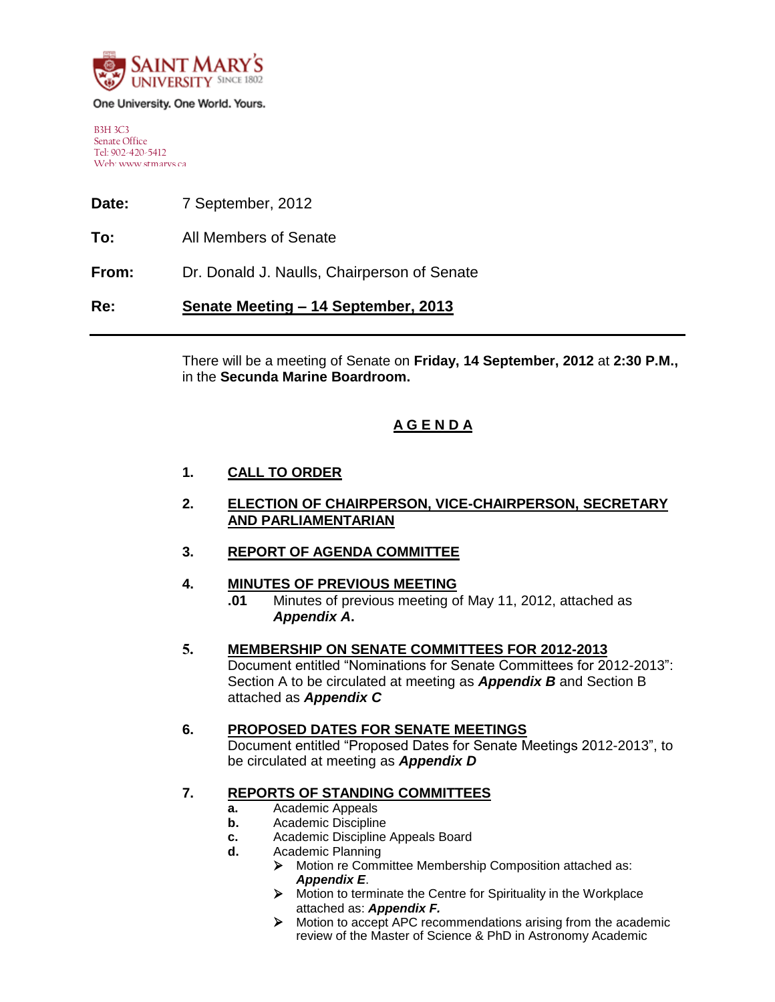

One University. One World. Yours.

B3H 3C3 Senate Office Tel: 902-420-5412 Web: www.stmarys.ca

**Date:** 7 September, 2012

**To:** All Members of Senate

**From:** Dr. Donald J. Naulls, Chairperson of Senate

**Re: Senate Meeting – 14 September, 2013**

There will be a meeting of Senate on **Friday, 14 September, 2012** at **2:30 P.M.,** in the **Secunda Marine Boardroom.**

# **A G E N D A**

## **1. CALL TO ORDER**

- **2. ELECTION OF CHAIRPERSON, VICE-CHAIRPERSON, SECRETARY AND PARLIAMENTARIAN**
- **3. REPORT OF AGENDA COMMITTEE**

## **4. MINUTES OF PREVIOUS MEETING**

- **.01** Minutes of previous meeting of May 11, 2012, attached as *Appendix A***.**
- **5. MEMBERSHIP ON SENATE COMMITTEES FOR 2012-2013** Document entitled "Nominations for Senate Committees for 2012-2013": Section A to be circulated at meeting as *Appendix B* and Section B attached as *Appendix C*

#### **6. PROPOSED DATES FOR SENATE MEETINGS**

Document entitled "Proposed Dates for Senate Meetings 2012-2013", to be circulated at meeting as *Appendix D*

## **7. REPORTS OF STANDING COMMITTEES**

- **a.** Academic Appeals
- **b.** Academic Discipline
- **c.** Academic Discipline Appeals Board
- **d.** Academic Planning
	- Motion re Committee Membership Composition attached as: *Appendix E*.
	- $\triangleright$  Motion to terminate the Centre for Spirituality in the Workplace attached as: *Appendix F.*
	- Motion to accept APC recommendations arising from the academic review of the Master of Science & PhD in Astronomy Academic